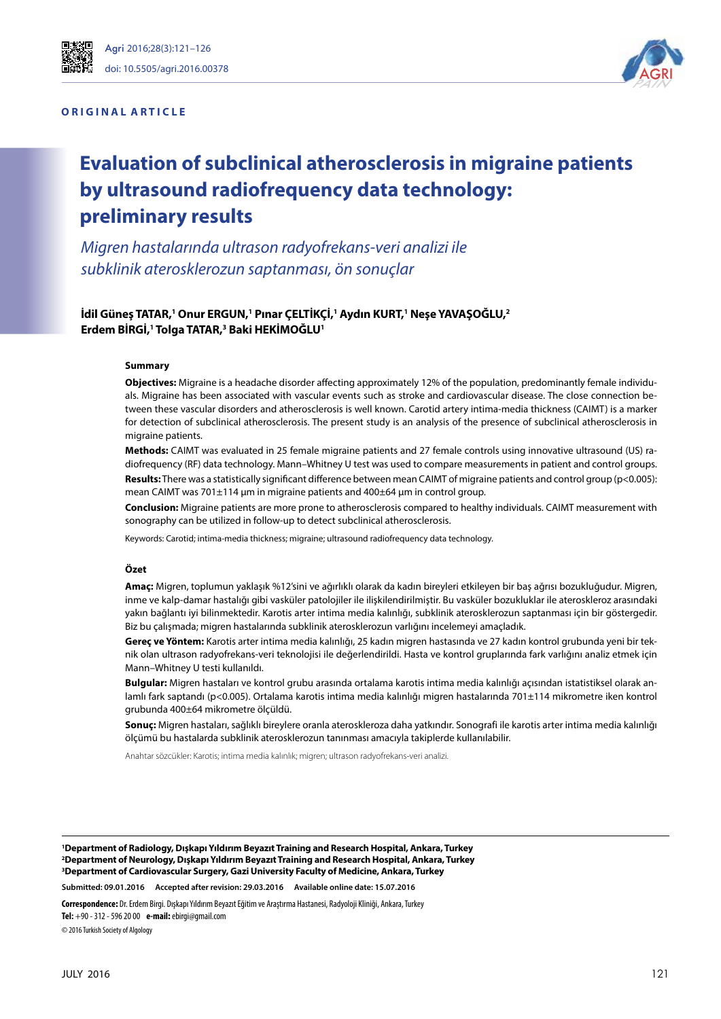#### **ORIGINAL ARTICLE**



# **Evaluation of subclinical atherosclerosis in migraine patients by ultrasound radiofrequency data technology: preliminary results**

*Migren hastalarında ultrason radyofrekans-veri analizi ile subklinik aterosklerozun saptanması, ön sonuçlar*

### $\dot{}$ İdil Güneş TATAR,<sup>1</sup> Onur ERGUN,<sup>1</sup> Pınar ÇELTİKÇİ,<sup>1</sup> Aydın KURT,<sup>1</sup> Neşe YAVAŞOĞLU,<sup>2</sup> **Erdem BİRGİ,1 Tolga TATAR,3 Baki HEKİMOĞLU1**

#### **Summary**

**Objectives:** Migraine is a headache disorder affecting approximately 12% of the population, predominantly female individuals. Migraine has been associated with vascular events such as stroke and cardiovascular disease. The close connection between these vascular disorders and atherosclerosis is well known. Carotid artery intima-media thickness (CAIMT) is a marker for detection of subclinical atherosclerosis. The present study is an analysis of the presence of subclinical atherosclerosis in migraine patients.

**Methods:** CAIMT was evaluated in 25 female migraine patients and 27 female controls using innovative ultrasound (US) radiofrequency (RF) data technology. Mann–Whitney U test was used to compare measurements in patient and control groups. **Results:** There was a statistically significant difference between mean CAIMT of migraine patients and control group (p<0.005): mean CAIMT was 701±114 μm in migraine patients and 400±64 μm in control group.

**Conclusion:** Migraine patients are more prone to atherosclerosis compared to healthy individuals. CAIMT measurement with sonography can be utilized in follow-up to detect subclinical atherosclerosis.

Keywords: Carotid; intima-media thickness; migraine; ultrasound radiofrequency data technology.

#### **Özet**

**Amaç:** Migren, toplumun yaklaşık %12'sini ve ağırlıklı olarak da kadın bireyleri etkileyen bir baş ağrısı bozukluğudur. Migren, inme ve kalp-damar hastalığı gibi vasküler patolojiler ile ilişkilendirilmiştir. Bu vasküler bozukluklar ile ateroskleroz arasındaki yakın bağlantı iyi bilinmektedir. Karotis arter intima media kalınlığı, subklinik aterosklerozun saptanması için bir göstergedir. Biz bu çalışmada; migren hastalarında subklinik aterosklerozun varlığını incelemeyi amaçladık.

**Gereç ve Yöntem:** Karotis arter intima media kalınlığı, 25 kadın migren hastasında ve 27 kadın kontrol grubunda yeni bir teknik olan ultrason radyofrekans-veri teknolojisi ile değerlendirildi. Hasta ve kontrol gruplarında fark varlığını analiz etmek için Mann–Whitney U testi kullanıldı.

**Bulgular:** Migren hastaları ve kontrol grubu arasında ortalama karotis intima media kalınlığı açısından istatistiksel olarak anlamlı fark saptandı (p<0.005). Ortalama karotis intima media kalınlığı migren hastalarında 701±114 mikrometre iken kontrol grubunda 400±64 mikrometre ölçüldü.

**Sonuç:** Migren hastaları, sağlıklı bireylere oranla ateroskleroza daha yatkındır. Sonografi ile karotis arter intima media kalınlığı ölçümü bu hastalarda subklinik aterosklerozun tanınması amacıyla takiplerde kullanılabilir.

Anahtar sözcükler: Karotis; intima media kalınlık; migren; ultrason radyofrekans-veri analizi.

**1 Department of Radiology, Dışkapı Yıldırım Beyazıt Training and Research Hospital, Ankara, Turkey 2 Department of Neurology, Dışkapı Yıldırım Beyazıt Training and Research Hospital, Ankara, Turkey 3 Department of Cardiovascular Surgery, Gazi University Faculty of Medicine, Ankara, Turkey**

**Submitted: 09.01.2016 Accepted after revision: 29.03.2016 Available online date: 15.07.2016**

**Correspondence:** Dr. Erdem Birgi. Dışkapı Yıldırım Beyazıt Eğitim ve Araştırma Hastanesi, Radyoloji Kliniği, Ankara, Turkey

**Tel:** +90 - 312 - 596 20 00 **e-mail:** ebirgi@gmail.com

© 2016 Turkish Society of Algology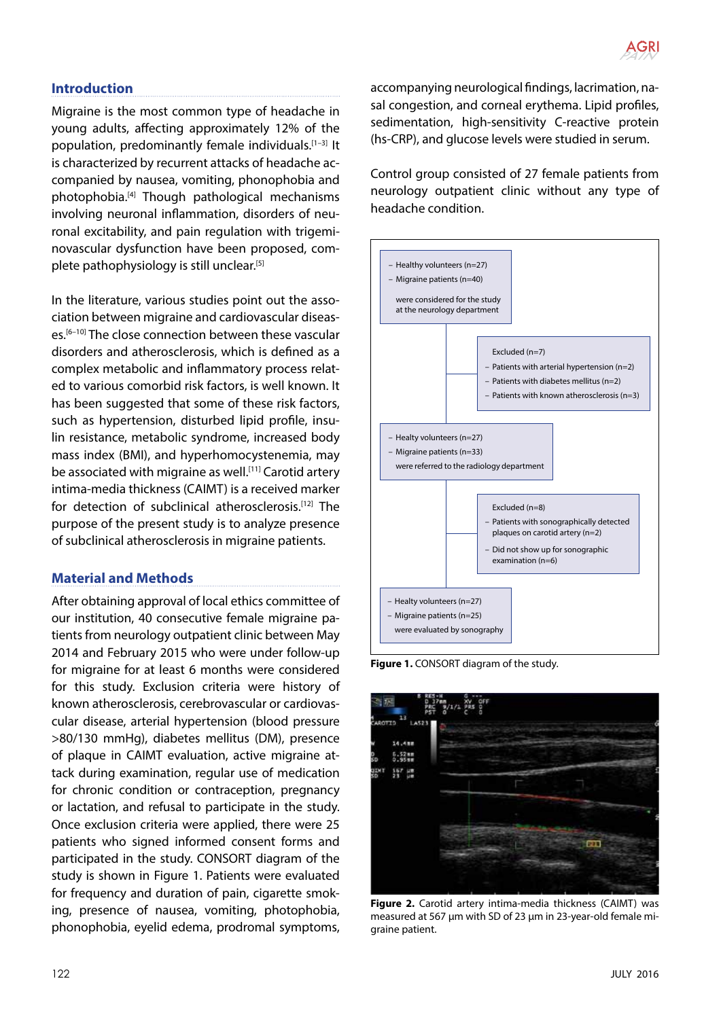# **Introduction**

Migraine is the most common type of headache in young adults, affecting approximately 12% of the population, predominantly female individuals.[1–3] It is characterized by recurrent attacks of headache accompanied by nausea, vomiting, phonophobia and photophobia.[4] Though pathological mechanisms involving neuronal inflammation, disorders of neuronal excitability, and pain regulation with trigeminovascular dysfunction have been proposed, complete pathophysiology is still unclear.[5]

In the literature, various studies point out the association between migraine and cardiovascular diseases.[6–10] The close connection between these vascular disorders and atherosclerosis, which is defined as a complex metabolic and inflammatory process related to various comorbid risk factors, is well known. It has been suggested that some of these risk factors, such as hypertension, disturbed lipid profile, insulin resistance, metabolic syndrome, increased body mass index (BMI), and hyperhomocystenemia, may be associated with migraine as well.<sup>[11]</sup> Carotid artery intima-media thickness (CAIMT) is a received marker for detection of subclinical atherosclerosis.[12] The purpose of the present study is to analyze presence of subclinical atherosclerosis in migraine patients.

# **Material and Methods**

After obtaining approval of local ethics committee of our institution, 40 consecutive female migraine patients from neurology outpatient clinic between May 2014 and February 2015 who were under follow-up for migraine for at least 6 months were considered for this study. Exclusion criteria were history of known atherosclerosis, cerebrovascular or cardiovascular disease, arterial hypertension (blood pressure >80/130 mmHg), diabetes mellitus (DM), presence of plaque in CAIMT evaluation, active migraine attack during examination, regular use of medication for chronic condition or contraception, pregnancy or lactation, and refusal to participate in the study. Once exclusion criteria were applied, there were 25 patients who signed informed consent forms and participated in the study. CONSORT diagram of the study is shown in Figure 1. Patients were evaluated for frequency and duration of pain, cigarette smoking, presence of nausea, vomiting, photophobia, phonophobia, eyelid edema, prodromal symptoms, accompanying neurological findings, lacrimation, nasal congestion, and corneal erythema. Lipid profiles, sedimentation, high-sensitivity C-reactive protein (hs-CRP), and glucose levels were studied in serum.

Control group consisted of 27 female patients from neurology outpatient clinic without any type of headache condition.



**Figure 1.** CONSORT diagram of the study.



**Figure 2.** Carotid artery intima-media thickness (CAIMT) was measured at 567 μm with SD of 23 μm in 23-year-old female migraine patient.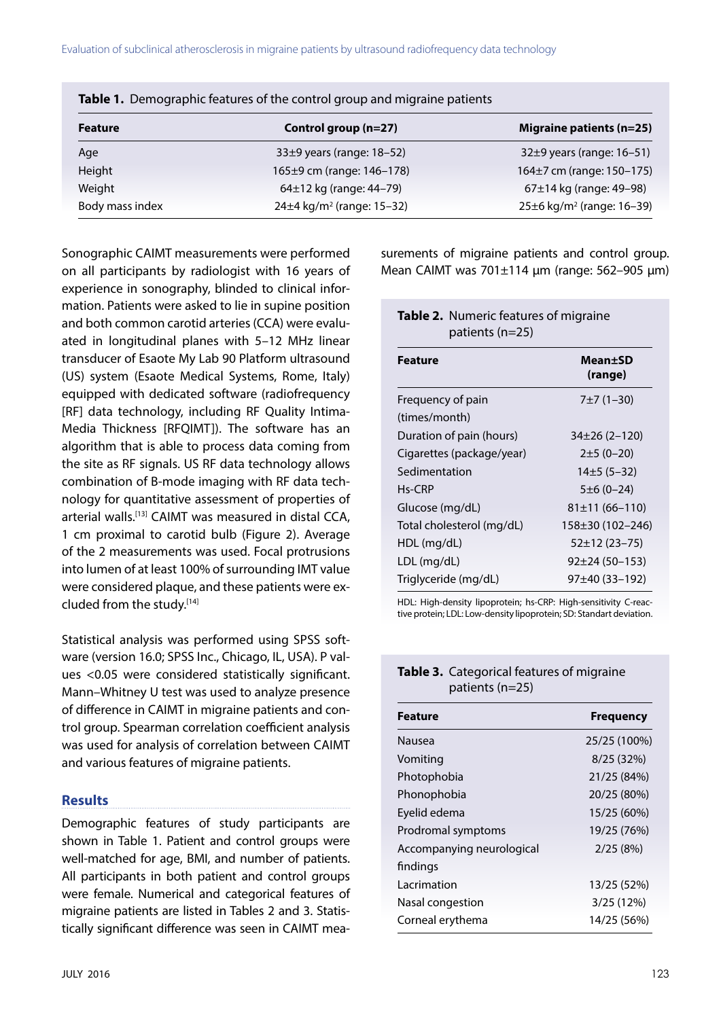| <b>TWEE</b> TO DETTRYING IN THE REGISTER OF THE COTTLED OF GEOGRAPHIC MINITION PUTCHES |                                             |                                             |
|----------------------------------------------------------------------------------------|---------------------------------------------|---------------------------------------------|
| <b>Feature</b>                                                                         | Control group (n=27)                        | <b>Migraine patients (n=25)</b>             |
| Age                                                                                    | 33±9 years (range: 18-52)                   | 32±9 years (range: 16-51)                   |
| Height                                                                                 | 165±9 cm (range: 146-178)                   | 164±7 cm (range: 150-175)                   |
| Weight                                                                                 | 64±12 kg (range: 44-79)                     | 67±14 kg (range: 49-98)                     |
| Body mass index                                                                        | 24 $\pm$ 4 kg/m <sup>2</sup> (range: 15-32) | 25 $\pm$ 6 kg/m <sup>2</sup> (range: 16-39) |

Sonographic CAIMT measurements were performed on all participants by radiologist with 16 years of experience in sonography, blinded to clinical information. Patients were asked to lie in supine position and both common carotid arteries (CCA) were evaluated in longitudinal planes with 5–12 MHz linear transducer of Esaote My Lab 90 Platform ultrasound (US) system (Esaote Medical Systems, Rome, Italy) equipped with dedicated software (radiofrequency [RF] data technology, including RF Quality Intima-Media Thickness [RFQIMT]). The software has an algorithm that is able to process data coming from the site as RF signals. US RF data technology allows combination of B-mode imaging with RF data technology for quantitative assessment of properties of arterial walls.[13] CAIMT was measured in distal CCA, 1 cm proximal to carotid bulb (Figure 2). Average of the 2 measurements was used. Focal protrusions into lumen of at least 100% of surrounding IMT value were considered plaque, and these patients were excluded from the study.[14]

Statistical analysis was performed using SPSS software (version 16.0; SPSS Inc., Chicago, IL, USA). P values <0.05 were considered statistically significant. Mann–Whitney U test was used to analyze presence of difference in CAIMT in migraine patients and control group. Spearman correlation coefficient analysis was used for analysis of correlation between CAIMT and various features of migraine patients.

# **Results**

Demographic features of study participants are shown in Table 1. Patient and control groups were well-matched for age, BMI, and number of patients. All participants in both patient and control groups were female. Numerical and categorical features of migraine patients are listed in Tables 2 and 3. Statistically significant difference was seen in CAIMT measurements of migraine patients and control group. Mean CAIMT was 701±114 μm (range: 562–905 μm)

| Table 2. Numeric features of migraine<br>patients (n=25) |                    |  |  |
|----------------------------------------------------------|--------------------|--|--|
| <b>Feature</b>                                           | Mean±SD<br>(range) |  |  |
| Frequency of pain                                        | $7±7(1-30)$        |  |  |
| (times/month)                                            |                    |  |  |
| Duration of pain (hours)                                 | $34\pm26(2-120)$   |  |  |
| Cigarettes (package/year)                                | $2±5(0-20)$        |  |  |
| Sedimentation                                            | $14\pm 5(5-32)$    |  |  |
| $Hs-CRP$                                                 | $5±6(0-24)$        |  |  |
| Glucose (mg/dL)                                          | $81\pm11(66-110)$  |  |  |
| Total cholesterol (mg/dL)                                | 158±30 (102–246)   |  |  |
| $HDL$ (mg/dL)                                            | $52\pm12(23-75)$   |  |  |
| LDL (mg/dL)                                              | $92\pm 24(50-153)$ |  |  |
| Triglyceride (mg/dL)                                     | 97±40 (33–192)     |  |  |

HDL: High-density lipoprotein; hs-CRP: High-sensitivity C-reactive protein; LDL: Low-density lipoprotein; SD: Standart deviation.

## **Table 3.** Categorical features of migraine patients (n=25)

| <b>Feature</b>            | <b>Frequency</b> |
|---------------------------|------------------|
| Nausea                    | 25/25 (100%)     |
| Vomiting                  | 8/25 (32%)       |
| Photophobia               | 21/25 (84%)      |
| Phonophobia               | 20/25 (80%)      |
| Eyelid edema              | 15/25 (60%)      |
| Prodromal symptoms        | 19/25 (76%)      |
| Accompanying neurological | 2/25(8%)         |
| findings                  |                  |
| l acrimation              | 13/25 (52%)      |
| Nasal congestion          | 3/25(12%)        |
| Corneal erythema          | 14/25 (56%)      |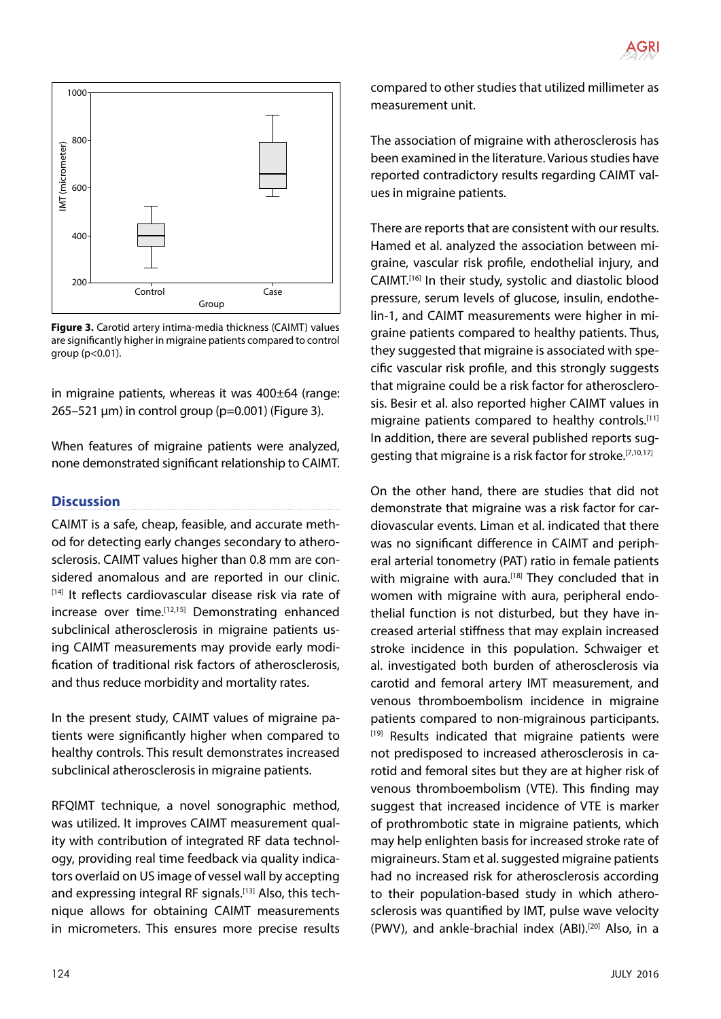

**Figure 3.** Carotid artery intima-media thickness (CAIMT) values are significantly higher in migraine patients compared to control group (p<0.01).

in migraine patients, whereas it was 400±64 (range: 265–521 μm) in control group (p=0.001) (Figure 3).

When features of migraine patients were analyzed, none demonstrated significant relationship to CAIMT.

# **Discussion**

CAIMT is a safe, cheap, feasible, and accurate method for detecting early changes secondary to atherosclerosis. CAIMT values higher than 0.8 mm are considered anomalous and are reported in our clinic. [14] It reflects cardiovascular disease risk via rate of increase over time.[12,15] Demonstrating enhanced subclinical atherosclerosis in migraine patients using CAIMT measurements may provide early modification of traditional risk factors of atherosclerosis, and thus reduce morbidity and mortality rates.

In the present study, CAIMT values of migraine patients were significantly higher when compared to healthy controls. This result demonstrates increased subclinical atherosclerosis in migraine patients.

RFQIMT technique, a novel sonographic method, was utilized. It improves CAIMT measurement quality with contribution of integrated RF data technology, providing real time feedback via quality indicators overlaid on US image of vessel wall by accepting and expressing integral RF signals.<sup>[13]</sup> Also, this technique allows for obtaining CAIMT measurements in micrometers. This ensures more precise results compared to other studies that utilized millimeter as measurement unit.

The association of migraine with atherosclerosis has been examined in the literature. Various studies have reported contradictory results regarding CAIMT values in migraine patients.

There are reports that are consistent with our results. Hamed et al. analyzed the association between migraine, vascular risk profile, endothelial injury, and CAIMT.[16] In their study, systolic and diastolic blood pressure, serum levels of glucose, insulin, endothelin-1, and CAIMT measurements were higher in migraine patients compared to healthy patients. Thus, they suggested that migraine is associated with specific vascular risk profile, and this strongly suggests that migraine could be a risk factor for atherosclerosis. Besir et al. also reported higher CAIMT values in migraine patients compared to healthy controls.<sup>[11]</sup> In addition, there are several published reports suggesting that migraine is a risk factor for stroke.<sup>[7,10,17]</sup>

On the other hand, there are studies that did not demonstrate that migraine was a risk factor for cardiovascular events. Liman et al. indicated that there was no significant difference in CAIMT and peripheral arterial tonometry (PAT) ratio in female patients with migraine with aura.<sup>[18]</sup> They concluded that in women with migraine with aura, peripheral endothelial function is not disturbed, but they have increased arterial stiffness that may explain increased stroke incidence in this population. Schwaiger et al. investigated both burden of atherosclerosis via carotid and femoral artery IMT measurement, and venous thromboembolism incidence in migraine patients compared to non-migrainous participants. [19] Results indicated that migraine patients were not predisposed to increased atherosclerosis in carotid and femoral sites but they are at higher risk of venous thromboembolism (VTE). This finding may suggest that increased incidence of VTE is marker of prothrombotic state in migraine patients, which may help enlighten basis for increased stroke rate of migraineurs. Stam et al. suggested migraine patients had no increased risk for atherosclerosis according to their population-based study in which atherosclerosis was quantified by IMT, pulse wave velocity (PWV), and ankle-brachial index (ABI).<sup>[20]</sup> Also, in a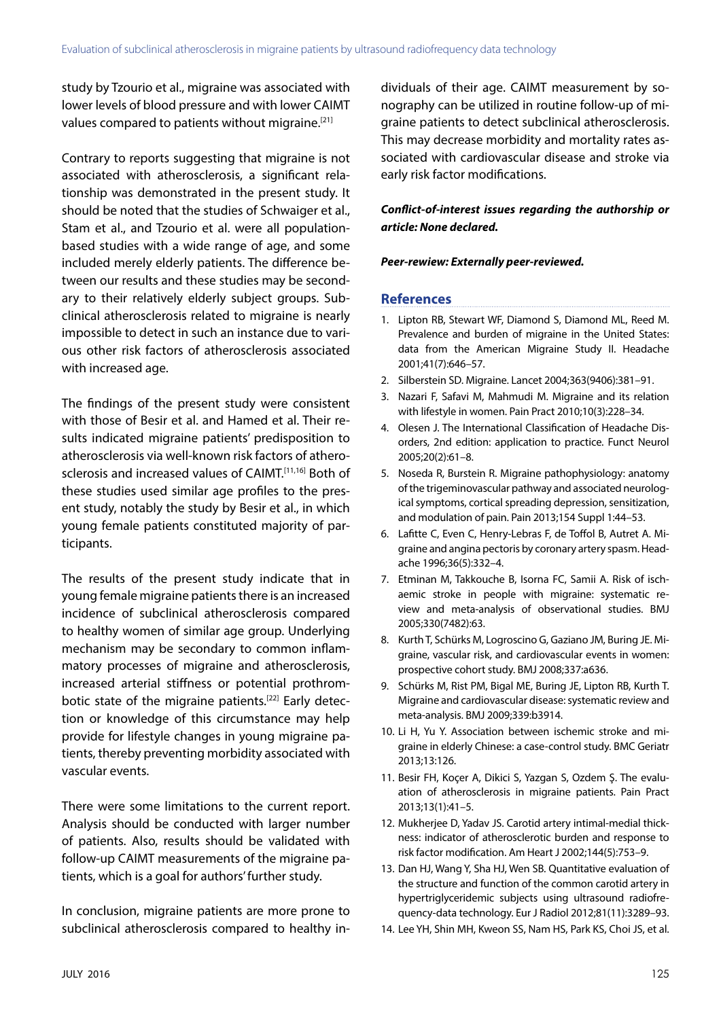study by Tzourio et al., migraine was associated with lower levels of blood pressure and with lower CAIMT values compared to patients without migraine.<sup>[21]</sup>

Contrary to reports suggesting that migraine is not associated with atherosclerosis, a significant relationship was demonstrated in the present study. It should be noted that the studies of Schwaiger et al., Stam et al., and Tzourio et al. were all populationbased studies with a wide range of age, and some included merely elderly patients. The difference between our results and these studies may be secondary to their relatively elderly subject groups. Subclinical atherosclerosis related to migraine is nearly impossible to detect in such an instance due to various other risk factors of atherosclerosis associated with increased age.

The findings of the present study were consistent with those of Besir et al. and Hamed et al. Their results indicated migraine patients' predisposition to atherosclerosis via well-known risk factors of atherosclerosis and increased values of CAIMT.[11,16] Both of these studies used similar age profiles to the present study, notably the study by Besir et al., in which young female patients constituted majority of participants.

The results of the present study indicate that in young female migraine patients there is an increased incidence of subclinical atherosclerosis compared to healthy women of similar age group. Underlying mechanism may be secondary to common inflammatory processes of migraine and atherosclerosis, increased arterial stiffness or potential prothrombotic state of the migraine patients.<sup>[22]</sup> Early detection or knowledge of this circumstance may help provide for lifestyle changes in young migraine patients, thereby preventing morbidity associated with vascular events.

There were some limitations to the current report. Analysis should be conducted with larger number of patients. Also, results should be validated with follow-up CAIMT measurements of the migraine patients, which is a goal for authors' further study.

In conclusion, migraine patients are more prone to subclinical atherosclerosis compared to healthy individuals of their age. CAIMT measurement by sonography can be utilized in routine follow-up of migraine patients to detect subclinical atherosclerosis. This may decrease morbidity and mortality rates associated with cardiovascular disease and stroke via early risk factor modifications.

*Conflict-of-interest issues regarding the authorship or article: None declared.*

#### *Peer-rewiew: Externally peer-reviewed.*

### **References**

- 1. Lipton RB, Stewart WF, Diamond S, Diamond ML, Reed M. Prevalence and burden of migraine in the United States: data from the American Migraine Study II. Headache 2001;41(7):646–57.
- 2. Silberstein SD. Migraine. Lancet 2004;363(9406):381–91.
- 3. Nazari F, Safavi M, Mahmudi M. Migraine and its relation with lifestyle in women. Pain Pract 2010;10(3):228–34.
- 4. Olesen J. The International Classification of Headache Disorders, 2nd edition: application to practice. Funct Neurol 2005;20(2):61–8.
- 5. Noseda R, Burstein R. Migraine pathophysiology: anatomy of the trigeminovascular pathway and associated neurological symptoms, cortical spreading depression, sensitization, and modulation of pain. Pain 2013;154 Suppl 1:44–53.
- 6. Lafitte C, Even C, Henry-Lebras F, de Toffol B, Autret A. Migraine and angina pectoris by coronary artery spasm. Headache 1996;36(5):332–4.
- 7. Etminan M, Takkouche B, Isorna FC, Samii A. Risk of ischaemic stroke in people with migraine: systematic review and meta-analysis of observational studies. BMJ 2005;330(7482):63.
- 8. Kurth T, Schürks M, Logroscino G, Gaziano JM, Buring JE. Migraine, vascular risk, and cardiovascular events in women: prospective cohort study. BMJ 2008;337:a636.
- 9. Schürks M, Rist PM, Bigal ME, Buring JE, Lipton RB, Kurth T. Migraine and cardiovascular disease: systematic review and meta-analysis. BMJ 2009;339:b3914.
- 10. Li H, Yu Y. Association between ischemic stroke and migraine in elderly Chinese: a case-control study. BMC Geriatr 2013;13:126.
- 11. Besir FH, Koçer A, Dikici S, Yazgan S, Ozdem Ş. The evaluation of atherosclerosis in migraine patients. Pain Pract 2013;13(1):41–5.
- 12. Mukherjee D, Yadav JS. Carotid artery intimal-medial thickness: indicator of atherosclerotic burden and response to risk factor modification. Am Heart J 2002;144(5):753–9.
- 13. Dan HJ, Wang Y, Sha HJ, Wen SB. Quantitative evaluation of the structure and function of the common carotid artery in hypertriglyceridemic subjects using ultrasound radiofrequency-data technology. Eur J Radiol 2012;81(11):3289–93.
- 14. Lee YH, Shin MH, Kweon SS, Nam HS, Park KS, Choi JS, et al.